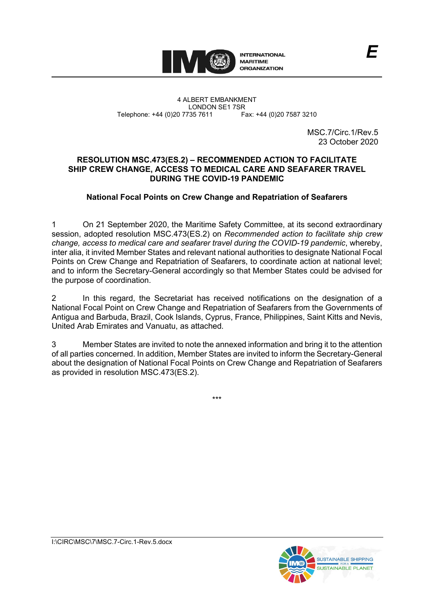

4 ALBERT EMBANKMENT Telephone: +44 (0)20 7735 7611

LONDON SE1 7SR<br>735 7611 Fax: +44 (0)20 7587 3210

MSC.7/Circ.1/Rev.5 23 October 2020

## **RESOLUTION MSC.473(ES.2) – RECOMMENDED ACTION TO FACILITATE SHIP CREW CHANGE, ACCESS TO MEDICAL CARE AND SEAFARER TRAVEL DURING THE COVID-19 PANDEMIC**

# **National Focal Points on Crew Change and Repatriation of Seafarers**

1 On 21 September 2020, the Maritime Safety Committee, at its second extraordinary session, adopted resolution MSC.473(ES.2) on *Recommended action to facilitate ship crew change, access to medical care and seafarer travel during the COVID-19 pandemic*, whereby, inter alia, it invited Member States and relevant national authorities to designate National Focal Points on Crew Change and Repatriation of Seafarers, to coordinate action at national level; and to inform the Secretary-General accordingly so that Member States could be advised for the purpose of coordination.

2 In this regard, the Secretariat has received notifications on the designation of a National Focal Point on Crew Change and Repatriation of Seafarers from the Governments of Antigua and Barbuda, Brazil, Cook Islands, Cyprus, France, Philippines, Saint Kitts and Nevis, United Arab Emirates and Vanuatu, as attached.

3 Member States are invited to note the annexed information and bring it to the attention of all parties concerned. In addition, Member States are invited to inform the Secretary-General about the designation of National Focal Points on Crew Change and Repatriation of Seafarers as provided in resolution MSC.473(ES.2).

\*\*\*

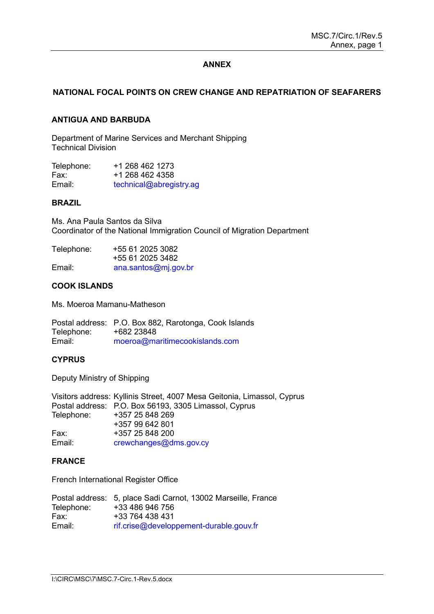### **ANNEX**

## **NATIONAL FOCAL POINTS ON CREW CHANGE AND REPATRIATION OF SEAFARERS**

### **ANTIGUA AND BARBUDA**

Department of Marine Services and Merchant Shipping Technical Division

| Telephone: | +1 268 462 1273         |
|------------|-------------------------|
| Fax:       | +1 268 462 4358         |
| Email:     | technical@abregistry.ag |

#### **BRAZIL**

Ms. Ana Paula Santos da Silva Coordinator of the National Immigration Council of Migration Department

| Telephone: | +55 61 2025 3082     |
|------------|----------------------|
|            | +55 61 2025 3482     |
| Email:     | ana.santos@mj.gov.br |

### **COOK ISLANDS**

Ms. Moeroa Mamanu-Matheson

Postal address: P.O. Box 882, Rarotonga, Cook Islands Telephone:<br>Fmail<sup>.</sup> moeroa@maritimecookislands.com

#### **CYPRUS**

Deputy Ministry of Shipping

Visitors address: Kyllinis Street, 4007 Mesa Geitonia, Limassol, Cyprus Postal address: P.O. Box 56193, 3305 Limassol, Cyprus Telephone: +357 25 848 269 +357 99 642 801 Fax: +357 25 848 200<br>Email: crewchanges@dr [crewchanges@dms.gov.cy](mailto:crewchanges@dms.gov.cy)

#### **FRANCE**

French International Register Office

|            | Postal address: 5, place Sadi Carnot, 13002 Marseille, France |
|------------|---------------------------------------------------------------|
| Telephone: | +33 486 946 756                                               |
| Fax:       | +33 764 438 431                                               |
| Email:     | rif.crise@developpement-durable.gouv.fr                       |